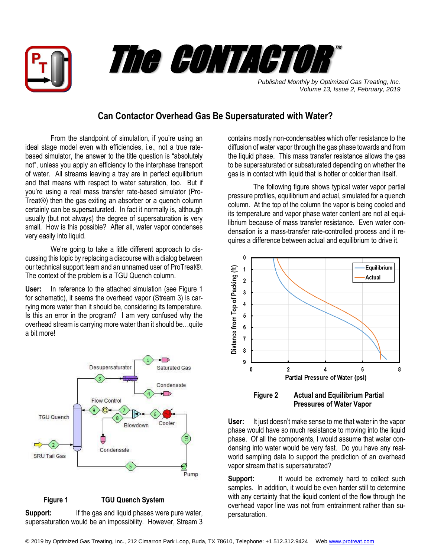



*Published Monthly by Optimized Gas Treating, Inc. Volume 13, Issue 2, February, 2019*

## **Can Contactor Overhead Gas Be Supersaturated with Water?**

From the standpoint of simulation, if you're using an ideal stage model even with efficiencies, i.e., not a true ratebased simulator, the answer to the title question is "absolutely not", unless you apply an efficiency to the interphase transport of water. All streams leaving a tray are in perfect equilibrium and that means with respect to water saturation, too. But if you're using a real mass transfer rate-based simulator (Pro-Treat®) then the gas exiting an absorber or a quench column certainly can be supersaturated. In fact it normally is, although usually (but not always) the degree of supersaturation is very small. How is this possible? After all, water vapor condenses very easily into liquid.

We're going to take a little different approach to discussing this topic by replacing a discourse with a dialog between our technical support team and an unnamed user of ProTreat®. The context of the problem is a TGU Quench column.

**User:** In reference to the attached simulation (see Figure 1 for schematic), it seems the overhead vapor (Stream 3) is carrying more water than it should be, considering its temperature. Is this an error in the program? I am very confused why the overhead stream is carrying more water than it should be…quite a bit more!



## **Figure 1 TGU Quench System**

Support: If the gas and liquid phases were pure water, supersaturation would be an impossibility. However, Stream 3 contains mostly non-condensables which offer resistance to the diffusion of water vapor through the gas phase towards and from the liquid phase. This mass transfer resistance allows the gas to be supersaturated or subsaturated depending on whether the gas is in contact with liquid that is hotter or colder than itself.

The following figure shows typical water vapor partial pressure profiles, equilibrium and actual, simulated for a quench column. At the top of the column the vapor is being cooled and its temperature and vapor phase water content are not at equilibrium because of mass transfer resistance. Even water condensation is a mass-transfer rate-controlled process and it requires a difference between actual and equilibrium to drive it.



 **Figure 2 Actual and Equilibrium Partial Pressures of Water Vapor**

**User:** It just doesn't make sense to me that water in the vapor phase would have so much resistance to moving into the liquid phase. Of all the components, I would assume that water condensing into water would be very fast. Do you have any realworld sampling data to support the prediction of an overhead vapor stream that is supersaturated?

**Support:** It would be extremely hard to collect such samples. In addition, it would be even harder still to determine with any certainty that the liquid content of the flow through the overhead vapor line was not from entrainment rather than supersaturation.